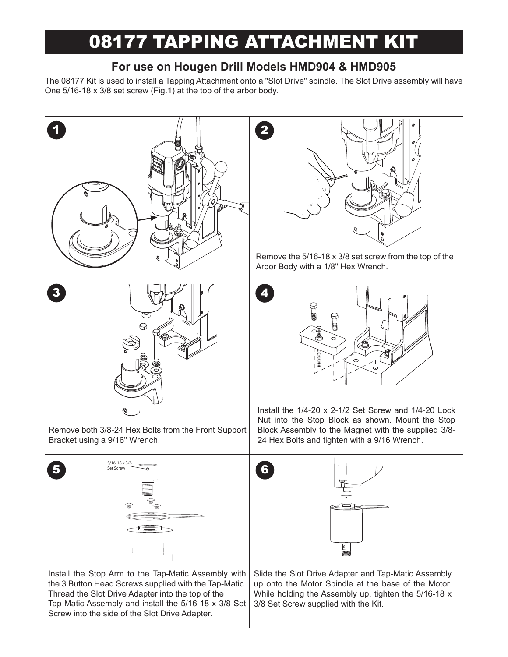# 08177 TAPPING ATTACHMENT KIT

## **For use on Hougen Drill Models HMD904 & HMD905**

The 08177 Kit is used to install a Tapping Attachment onto a "Slot Drive" spindle. The Slot Drive assembly will have One 5/16-18 x 3/8 set screw (Fig.1) at the top of the arbor body.



Remove both 3/8-24 Hex Bolts from the Front Support Bracket using a 9/16" Wrench.





Install the Stop Arm to the Tap-Matic Assembly with the 3 Button Head Screws supplied with the Tap-Matic. Thread the Slot Drive Adapter into the top of the Tap-Matic Assembly and install the 5/16-18 x 3/8 Set Screw into the side of the Slot Drive Adapter.



Remove the 5/16-18 x 3/8 set screw from the top of the Arbor Body with a 1/8" Hex Wrench.



Install the 1/4-20 x 2-1/2 Set Screw and 1/4-20 Lock Nut into the Stop Block as shown. Mount the Stop Block Assembly to the Magnet with the supplied 3/8- 24 Hex Bolts and tighten with a 9/16 Wrench.



Slide the Slot Drive Adapter and Tap-Matic Assembly up onto the Motor Spindle at the base of the Motor. While holding the Assembly up, tighten the 5/16-18 x 3/8 Set Screw supplied with the Kit.